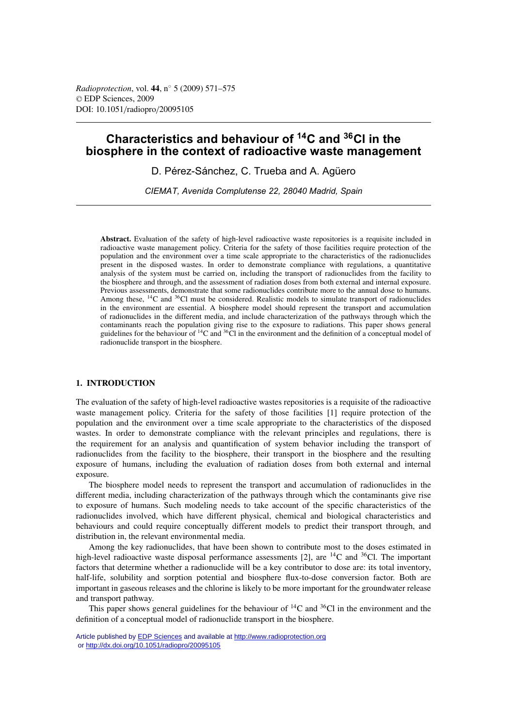# **Characteristics and behaviour of 14C and 36Cl in the biosphere in the context of radioactive waste management**

D. Pérez-Sánchez, C. Trueba and A. Agüero

*CIEMAT, Avenida Complutense 22, 28040 Madrid, Spain*

**Abstract.** Evaluation of the safety of high-level radioactive waste repositories is a requisite included in radioactive waste management policy. Criteria for the safety of those facilities require protection of the population and the environment over a time scale appropriate to the characteristics of the radionuclides present in the disposed wastes. In order to demonstrate compliance with regulations, a quantitative analysis of the system must be carried on, including the transport of radionuclides from the facility to the biosphere and through, and the assessment of radiation doses from both external and internal exposure. Previous assessments, demonstrate that some radionuclides contribute more to the annual dose to humans. Among these, <sup>14</sup>C and <sup>36</sup>Cl must be considered. Realistic models to simulate transport of radionuclides in the environment are essential. A biosphere model should represent the transport and accumulation of radionuclides in the different media, and include characterization of the pathways through which the contaminants reach the population giving rise to the exposure to radiations. This paper shows general guidelines for the behaviour of  $^{14}C$  and  $^{36}Cl$  in the environment and the definition of a conceptual model of radionuclide transport in the biosphere.

## **1. INTRODUCTION**

The evaluation of the safety of high-level radioactive wastes repositories is a requisite of the radioactive waste management policy. Criteria for the safety of those facilities [1] require protection of the population and the environment over a time scale appropriate to the characteristics of the disposed wastes. In order to demonstrate compliance with the relevant principles and regulations, there is the requirement for an analysis and quantification of system behavior including the transport of radionuclides from the facility to the biosphere, their transport in the biosphere and the resulting exposure of humans, including the evaluation of radiation doses from both external and internal exposure.

The biosphere model needs to represent the transport and accumulation of radionuclides in the different media, including characterization of the pathways through which the contaminants give rise to exposure of humans. Such modeling needs to take account of the specific characteristics of the radionuclides involved, which have different physical, chemical and biological characteristics and behaviours and could require conceptually different models to predict their transport through, and distribution in, the relevant environmental media.

Among the key radionuclides, that have been shown to contribute most to the doses estimated in high-level radioactive waste disposal performance assessments [2], are  $^{14}$ C and  $^{36}$ Cl. The important factors that determine whether a radionuclide will be a key contributor to dose are: its total inventory, half-life, solubility and sorption potential and biosphere flux-to-dose conversion factor. Both are important in gaseous releases and the chlorine is likely to be more important for the groundwater release and transport pathway.

This paper shows general guidelines for the behaviour of  ${}^{14}C$  and  ${}^{36}Cl$  in the environment and the definition of a conceptual model of radionuclide transport in the biosphere.

Article published by [EDP Sciences](http://www.edpsciences.org) and available at<http://www.radioprotection.org> or <http://dx.doi.org/10.1051/radiopro/20095105>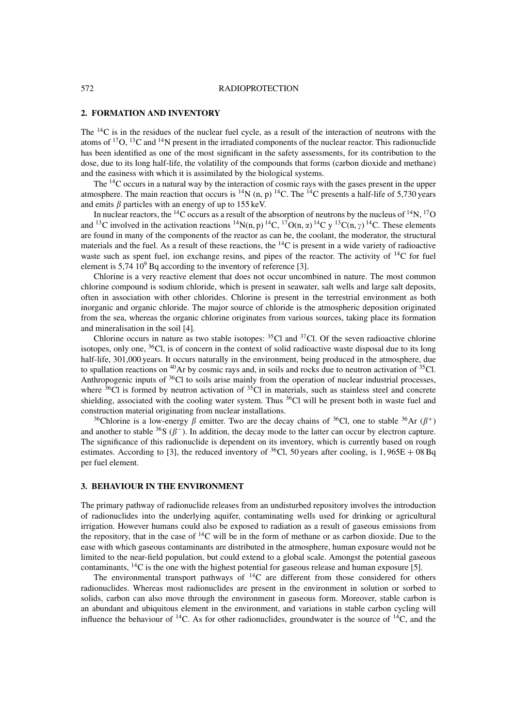#### 572 RADIOPROTECTION

## **2. FORMATION AND INVENTORY**

The <sup>14</sup>C is in the residues of the nuclear fuel cycle, as a result of the interaction of neutrons with the atoms of  $^{17}O$ ,  $^{13}C$  and  $^{14}N$  present in the irradiated components of the nuclear reactor. This radionuclide has been identified as one of the most significant in the safety assessments, for its contribution to the dose, due to its long half-life, the volatility of the compounds that forms (carbon dioxide and methane) and the easiness with which it is assimilated by the biological systems.

The 14C occurs in a natural way by the interaction of cosmic rays with the gases present in the upper atmosphere. The main reaction that occurs is  ${}^{14}N$  (n, p)  ${}^{14}C$ . The  ${}^{14}C$  presents a half-life of 5,730 years and emits  $\beta$  particles with an energy of up to 155 keV.

In nuclear reactors, the <sup>14</sup>C occurs as a result of the absorption of neutrons by the nucleus of <sup>14</sup>N, <sup>17</sup>O and <sup>13</sup>C involved in the activation reactions <sup>14</sup>N(n, p) <sup>14</sup>C, <sup>17</sup>O(n,  $\alpha$ ) <sup>14</sup>C y <sup>13</sup>C(n,  $\gamma$ ) <sup>14</sup>C. These elements are found in many of the components of the reactor as can be, the coolant, the moderator, the structural materials and the fuel. As a result of these reactions, the  ${}^{14}C$  is present in a wide variety of radioactive waste such as spent fuel, ion exchange resins, and pipes of the reactor. The activity of  $^{14}C$  for fuel element is  $5.74 \times 10^9$  Bq according to the inventory of reference [3].

Chlorine is a very reactive element that does not occur uncombined in nature. The most common chlorine compound is sodium chloride, which is present in seawater, salt wells and large salt deposits, often in association with other chlorides. Chlorine is present in the terrestrial environment as both inorganic and organic chloride. The major source of chloride is the atmospheric deposition originated from the sea, whereas the organic chlorine originates from various sources, taking place its formation and mineralisation in the soil [4].

Chlorine occurs in nature as two stable isotopes:  ${}^{35}$ Cl and  ${}^{37}$ Cl. Of the seven radioactive chlorine isotopes, only one,  $36$ Cl, is of concern in the context of solid radioactive waste disposal due to its long half-life, 301,000 years. It occurs naturally in the environment, being produced in the atmosphere, due to spallation reactions on  ${}^{40}Ar$  by cosmic rays and, in soils and rocks due to neutron activation of  ${}^{35}Cl$ . Anthropogenic inputs of <sup>36</sup>Cl to soils arise mainly from the operation of nuclear industrial processes, where  $36\text{Cl}$  is formed by neutron activation of  $35\text{Cl}$  in materials, such as stainless steel and concrete shielding, associated with the cooling water system. Thus  ${}^{36}$ Cl will be present both in waste fuel and construction material originating from nuclear installations.

<sup>36</sup>Chlorine is a low-energy  $\beta$  emitter. Two are the decay chains of <sup>36</sup>Cl, one to stable <sup>36</sup>Ar ( $\beta$ <sup>+</sup>) and another to stable <sup>36</sup>S ( $\beta^-$ ). In addition, the decay mode to the latter can occur by electron capture. The significance of this radionuclide is dependent on its inventory, which is currently based on rough estimates. According to [3], the reduced inventory of <sup>36</sup>Cl, 50 years after cooling, is  $1,965E + 08$  Bq per fuel element.

# **3. BEHAVIOUR IN THE ENVIRONMENT**

The primary pathway of radionuclide releases from an undisturbed repository involves the introduction of radionuclides into the underlying aquifer, contaminating wells used for drinking or agricultural irrigation. However humans could also be exposed to radiation as a result of gaseous emissions from the repository, that in the case of 14C will be in the form of methane or as carbon dioxide. Due to the ease with which gaseous contaminants are distributed in the atmosphere, human exposure would not be limited to the near-field population, but could extend to a global scale. Amongst the potential gaseous contaminants,  $^{14}$ C is the one with the highest potential for gaseous release and human exposure [5].

The environmental transport pathways of  ${}^{14}C$  are different from those considered for others radionuclides. Whereas most radionuclides are present in the environment in solution or sorbed to solids, carbon can also move through the environment in gaseous form. Moreover, stable carbon is an abundant and ubiquitous element in the environment, and variations in stable carbon cycling will influence the behaviour of  $14C$ . As for other radionuclides, groundwater is the source of  $14C$ , and the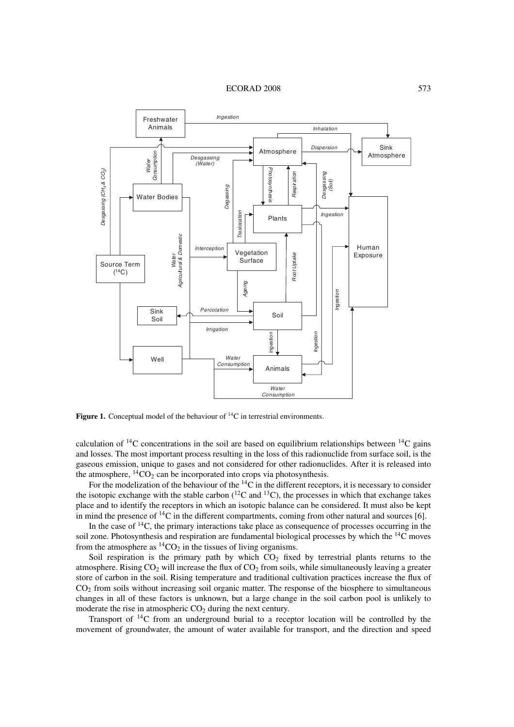ECORAD 2008 573



**Figure 1.** Conceptual model of the behaviour of <sup>14</sup>C in terrestrial environments.

calculation of  $^{14}$ C concentrations in the soil are based on equilibrium relationships between  $^{14}$ C gains and losses. The most important process resulting in the loss of this radionuclide from surface soil, is the gaseous emission, unique to gases and not considered for other radionuclides. After it is released into the atmosphere,  ${}^{14}CO_2$  can be incorporated into crops via photosynthesis.

For the modelization of the behaviour of the  ${}^{14}$ C in the different receptors, it is necessary to consider the isotopic exchange with the stable carbon  $(^{12}C$  and  $^{13}C)$ , the processes in which that exchange takes place and to identify the receptors in which an isotopic balance can be considered. It must also be kept in mind the presence of  $^{14}$ C in the different compartments, coming from other natural and sources [6].

In the case of  $^{14}$ C, the primary interactions take place as consequence of processes occurring in the soil zone. Photosynthesis and respiration are fundamental biological processes by which the 14C moves from the atmosphere as  ${}^{14}CO_2$  in the tissues of living organisms.

Soil respiration is the primary path by which  $CO<sub>2</sub>$  fixed by terrestrial plants returns to the atmosphere. Rising  $CO<sub>2</sub>$  will increase the flux of  $CO<sub>2</sub>$  from soils, while simultaneously leaving a greater store of carbon in the soil. Rising temperature and traditional cultivation practices increase the flux of CO2 from soils without increasing soil organic matter. The response of the biosphere to simultaneous changes in all of these factors is unknown, but a large change in the soil carbon pool is unlikely to moderate the rise in atmospheric  $CO<sub>2</sub>$  during the next century.

Transport of  $^{14}C$  from an underground burial to a receptor location will be controlled by the movement of groundwater, the amount of water available for transport, and the direction and speed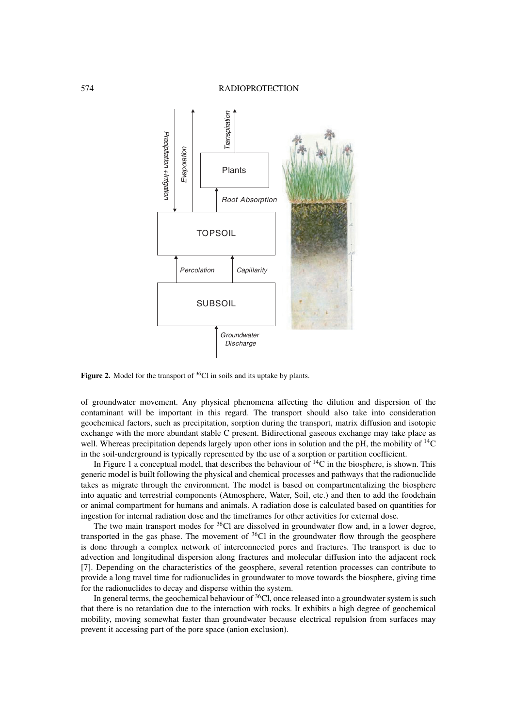## 574 RADIOPROTECTION



**Figure 2.** Model for the transport of <sup>36</sup>Cl in soils and its uptake by plants.

of groundwater movement. Any physical phenomena affecting the dilution and dispersion of the contaminant will be important in this regard. The transport should also take into consideration geochemical factors, such as precipitation, sorption during the transport, matrix diffusion and isotopic exchange with the more abundant stable C present. Bidirectional gaseous exchange may take place as well. Whereas precipitation depends largely upon other ions in solution and the pH, the mobility of <sup>14</sup>C in the soil-underground is typically represented by the use of a sorption or partition coefficient.

In Figure 1 a conceptual model, that describes the behaviour of  ${}^{14}C$  in the biosphere, is shown. This generic model is built following the physical and chemical processes and pathways that the radionuclide takes as migrate through the environment. The model is based on compartmentalizing the biosphere into aquatic and terrestrial components (Atmosphere, Water, Soil, etc.) and then to add the foodchain or animal compartment for humans and animals. A radiation dose is calculated based on quantities for ingestion for internal radiation dose and the timeframes for other activities for external dose.

The two main transport modes for  $36Cl$  are dissolved in groundwater flow and, in a lower degree, transported in the gas phase. The movement of  ${}^{36}$ Cl in the groundwater flow through the geosphere is done through a complex network of interconnected pores and fractures. The transport is due to advection and longitudinal dispersion along fractures and molecular diffusion into the adjacent rock [7]. Depending on the characteristics of the geosphere, several retention processes can contribute to provide a long travel time for radionuclides in groundwater to move towards the biosphere, giving time for the radionuclides to decay and disperse within the system.

In general terms, the geochemical behaviour of  $36<sub>CI</sub>$ , once released into a groundwater system is such that there is no retardation due to the interaction with rocks. It exhibits a high degree of geochemical mobility, moving somewhat faster than groundwater because electrical repulsion from surfaces may prevent it accessing part of the pore space (anion exclusion).